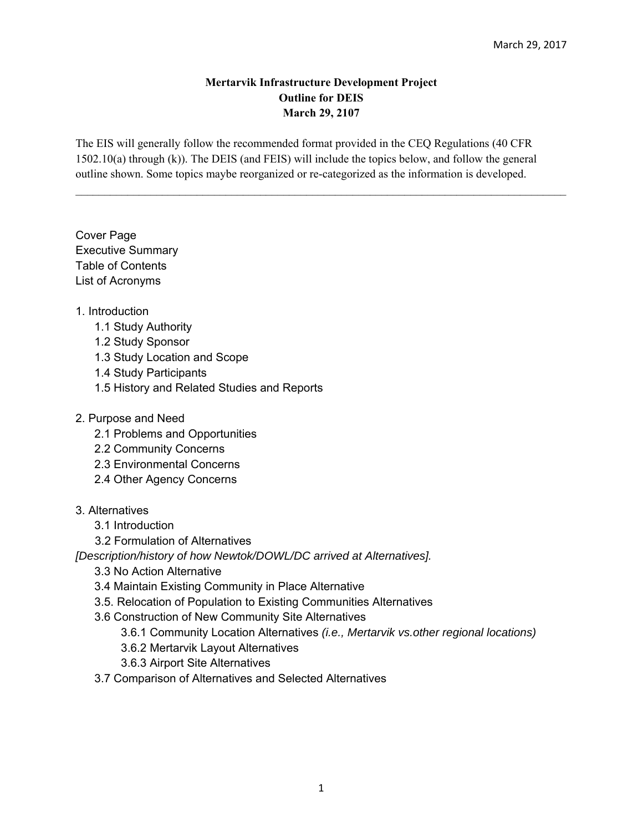### **Mertarvik Infrastructure Development Project Outline for DEIS March 29, 2107**

 $\mathcal{L}_\text{max} = \mathcal{L}_\text{max} = \mathcal{L}_\text{max} = \mathcal{L}_\text{max} = \mathcal{L}_\text{max} = \mathcal{L}_\text{max} = \mathcal{L}_\text{max} = \mathcal{L}_\text{max} = \mathcal{L}_\text{max} = \mathcal{L}_\text{max} = \mathcal{L}_\text{max} = \mathcal{L}_\text{max} = \mathcal{L}_\text{max} = \mathcal{L}_\text{max} = \mathcal{L}_\text{max} = \mathcal{L}_\text{max} = \mathcal{L}_\text{max} = \mathcal{L}_\text{max} = \mathcal{$ 

The EIS will generally follow the recommended format provided in the CEQ Regulations (40 CFR 1502.10(a) through (k)). The DEIS (and FEIS) will include the topics below, and follow the general outline shown. Some topics maybe reorganized or re-categorized as the information is developed.

Cover Page Executive Summary Table of Contents List of Acronyms

## 1. Introduction

- 1.1 Study Authority
- 1.2 Study Sponsor
- 1.3 Study Location and Scope
- 1.4 Study Participants
- 1.5 History and Related Studies and Reports
- 2. Purpose and Need
	- 2.1 Problems and Opportunities
	- 2.2 Community Concerns
	- 2.3 Environmental Concerns
	- 2.4 Other Agency Concerns

# 3. Alternatives

- 3.1 Introduction
- 3.2 Formulation of Alternatives

*[Description/history of how Newtok/DOWL/DC arrived at Alternatives].* 

- 3.3 No Action Alternative
- 3.4 Maintain Existing Community in Place Alternative
- 3.5. Relocation of Population to Existing Communities Alternatives
- 3.6 Construction of New Community Site Alternatives
	- 3.6.1 Community Location Alternatives *(i.e., Mertarvik vs.other regional locations)*
	- 3.6.2 Mertarvik Layout Alternatives
	- 3.6.3 Airport Site Alternatives
- 3.7 Comparison of Alternatives and Selected Alternatives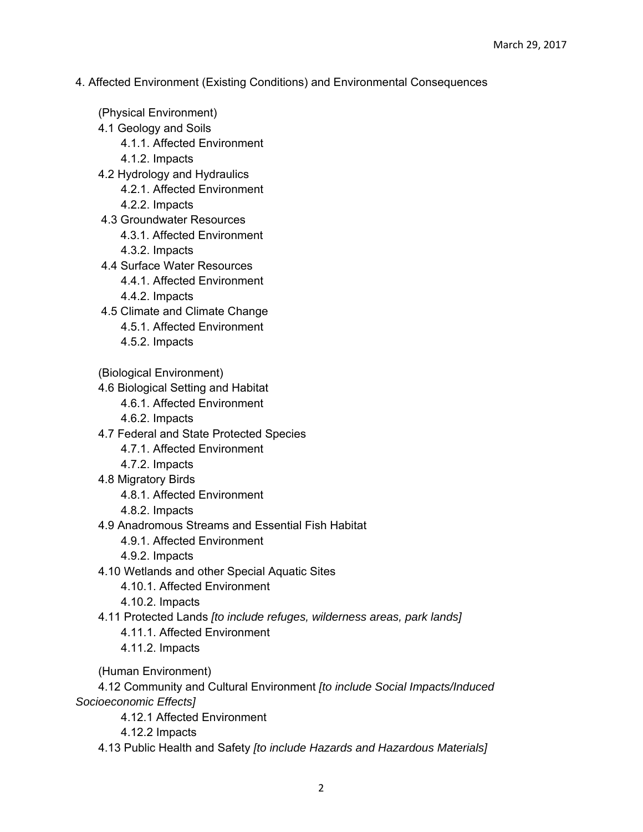- 4. Affected Environment (Existing Conditions) and Environmental Consequences
- (Physical Environment) 4.1 Geology and Soils 4.1.1. Affected Environment 4.1.2. Impacts 4.2 Hydrology and Hydraulics 4.2.1. Affected Environment 4.2.2. Impacts 4.3 Groundwater Resources 4.3.1. Affected Environment 4.3.2. Impacts 4.4 Surface Water Resources 4.4.1. Affected Environment 4.4.2. Impacts 4.5 Climate and Climate Change 4.5.1. Affected Environment 4.5.2. Impacts (Biological Environment) 4.6 Biological Setting and Habitat 4.6.1. Affected Environment 4.6.2. Impacts 4.7 Federal and State Protected Species 4.7.1. Affected Environment 4.7.2. Impacts 4.8 Migratory Birds 4.8.1. Affected Environment 4.8.2. Impacts 4.9 Anadromous Streams and Essential Fish Habitat 4.9.1. Affected Environment 4.9.2. Impacts 4.10 Wetlands and other Special Aquatic Sites 4.10.1. Affected Environment 4.10.2. Impacts 4.11 Protected Lands *[to include refuges, wilderness areas, park lands]* 4.11.1. Affected Environment 4.11.2. Impacts (Human Environment) 4.12 Community and Cultural Environment *[to include Social Impacts/Induced Socioeconomic Effects]* 4.12.1 Affected Environment 4.12.2 Impacts
	- 4.13 Public Health and Safety *[to include Hazards and Hazardous Materials]*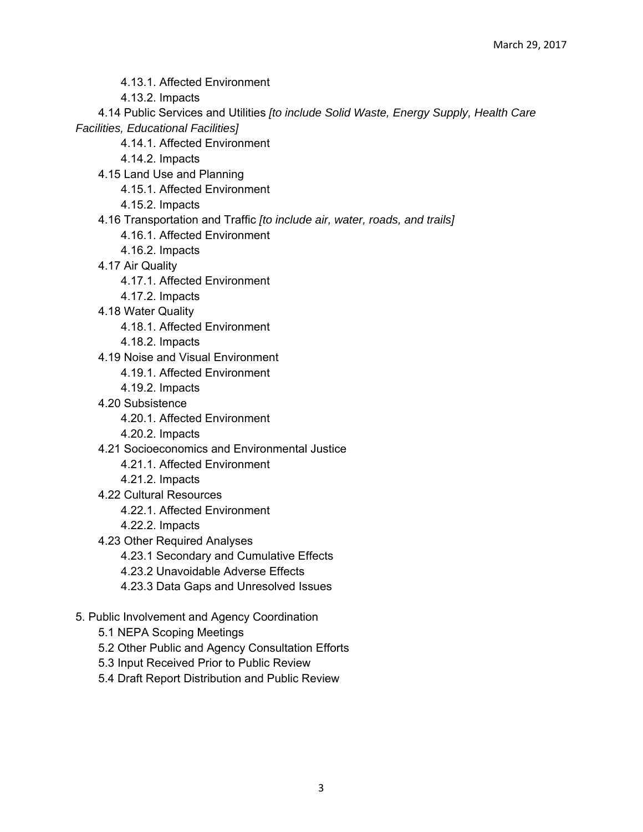- 4.13.1. Affected Environment
- 4.13.2. Impacts

 4.14 Public Services and Utilities *[to include Solid Waste, Energy Supply, Health Care Facilities, Educational Facilities]*

- 4.14.1. Affected Environment
- 4.14.2. Impacts
- 4.15 Land Use and Planning
	- 4.15.1. Affected Environment
	- 4.15.2. Impacts
- 4.16 Transportation and Traffic *[to include air, water, roads, and trails]*
	- 4.16.1. Affected Environment
	- 4.16.2. Impacts
- 4.17 Air Quality
	- 4.17.1. Affected Environment
	- 4.17.2. Impacts
- 4.18 Water Quality
	- 4.18.1. Affected Environment
	- 4.18.2. Impacts
- 4.19 Noise and Visual Environment
	- 4.19.1. Affected Environment
	- 4.19.2. Impacts
- 4.20 Subsistence
	- 4.20.1. Affected Environment
	- 4.20.2. Impacts
- 4.21 Socioeconomics and Environmental Justice
	- 4.21.1. Affected Environment
	- 4.21.2. Impacts
- 4.22 Cultural Resources
	- 4.22.1. Affected Environment
	- 4.22.2. Impacts
- 4.23 Other Required Analyses
	- 4.23.1 Secondary and Cumulative Effects
	- 4.23.2 Unavoidable Adverse Effects
	- 4.23.3 Data Gaps and Unresolved Issues
- 5. Public Involvement and Agency Coordination
	- 5.1 NEPA Scoping Meetings
	- 5.2 Other Public and Agency Consultation Efforts
	- 5.3 Input Received Prior to Public Review
	- 5.4 Draft Report Distribution and Public Review